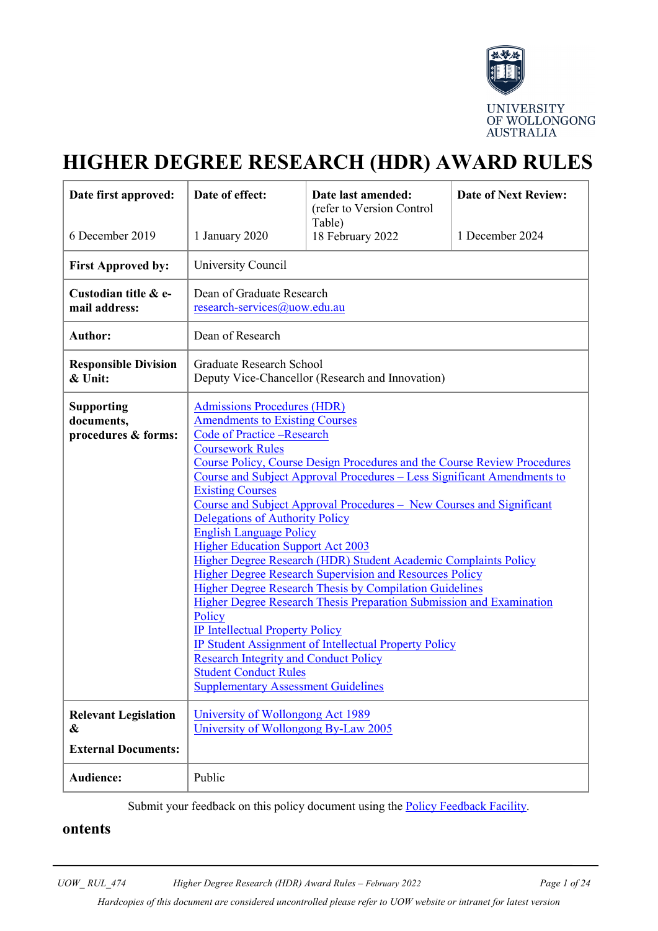

# **HIGHER DEGREE RESEARCH (HDR) AWARD RULES**

| Date first approved:                                   | Date of effect:                                                                                                                                                                                                                                                                                                                                                                                                                                                                                                                                                                                                                                                                                                                                                                                                                                                                                                                                                                                                  | Date last amended:<br>(refer to Version Control | <b>Date of Next Review:</b> |
|--------------------------------------------------------|------------------------------------------------------------------------------------------------------------------------------------------------------------------------------------------------------------------------------------------------------------------------------------------------------------------------------------------------------------------------------------------------------------------------------------------------------------------------------------------------------------------------------------------------------------------------------------------------------------------------------------------------------------------------------------------------------------------------------------------------------------------------------------------------------------------------------------------------------------------------------------------------------------------------------------------------------------------------------------------------------------------|-------------------------------------------------|-----------------------------|
| 6 December 2019                                        | 1 January 2020                                                                                                                                                                                                                                                                                                                                                                                                                                                                                                                                                                                                                                                                                                                                                                                                                                                                                                                                                                                                   | Table)<br>18 February 2022                      | 1 December 2024             |
| <b>First Approved by:</b>                              | University Council                                                                                                                                                                                                                                                                                                                                                                                                                                                                                                                                                                                                                                                                                                                                                                                                                                                                                                                                                                                               |                                                 |                             |
| Custodian title & e-<br>mail address:                  | Dean of Graduate Research<br>research-services@uow.edu.au                                                                                                                                                                                                                                                                                                                                                                                                                                                                                                                                                                                                                                                                                                                                                                                                                                                                                                                                                        |                                                 |                             |
| <b>Author:</b>                                         | Dean of Research                                                                                                                                                                                                                                                                                                                                                                                                                                                                                                                                                                                                                                                                                                                                                                                                                                                                                                                                                                                                 |                                                 |                             |
| <b>Responsible Division</b><br>& Unit:                 | Graduate Research School<br>Deputy Vice-Chancellor (Research and Innovation)                                                                                                                                                                                                                                                                                                                                                                                                                                                                                                                                                                                                                                                                                                                                                                                                                                                                                                                                     |                                                 |                             |
| <b>Supporting</b><br>documents,<br>procedures & forms: | <b>Admissions Procedures (HDR)</b><br><b>Amendments to Existing Courses</b><br>Code of Practice -Research<br><b>Coursework Rules</b><br>Course Policy, Course Design Procedures and the Course Review Procedures<br>Course and Subject Approval Procedures – Less Significant Amendments to<br><b>Existing Courses</b><br>Course and Subject Approval Procedures – New Courses and Significant<br><b>Delegations of Authority Policy</b><br><b>English Language Policy</b><br><b>Higher Education Support Act 2003</b><br>Higher Degree Research (HDR) Student Academic Complaints Policy<br><b>Higher Degree Research Supervision and Resources Policy</b><br><b>Higher Degree Research Thesis by Compilation Guidelines</b><br><b>Higher Degree Research Thesis Preparation Submission and Examination</b><br>Policy<br><b>IP Intellectual Property Policy</b><br><b>IP Student Assignment of Intellectual Property Policy</b><br><b>Research Integrity and Conduct Policy</b><br><b>Student Conduct Rules</b> |                                                 |                             |
| <b>Relevant Legislation</b><br>&                       | University of Wollongong Act 1989<br>University of Wollongong By-Law 2005                                                                                                                                                                                                                                                                                                                                                                                                                                                                                                                                                                                                                                                                                                                                                                                                                                                                                                                                        |                                                 |                             |
| <b>External Documents:</b>                             |                                                                                                                                                                                                                                                                                                                                                                                                                                                                                                                                                                                                                                                                                                                                                                                                                                                                                                                                                                                                                  |                                                 |                             |
| Audience:                                              | Public                                                                                                                                                                                                                                                                                                                                                                                                                                                                                                                                                                                                                                                                                                                                                                                                                                                                                                                                                                                                           |                                                 |                             |

Submit your feedback on this policy document using the [Policy Feedback Facility.](http://www.uow.edu.au/about/policy/feedback/index.html)

### **ontents**

*Hardcopies of this document are considered uncontrolled please refer to UOW website or intranet for latest version*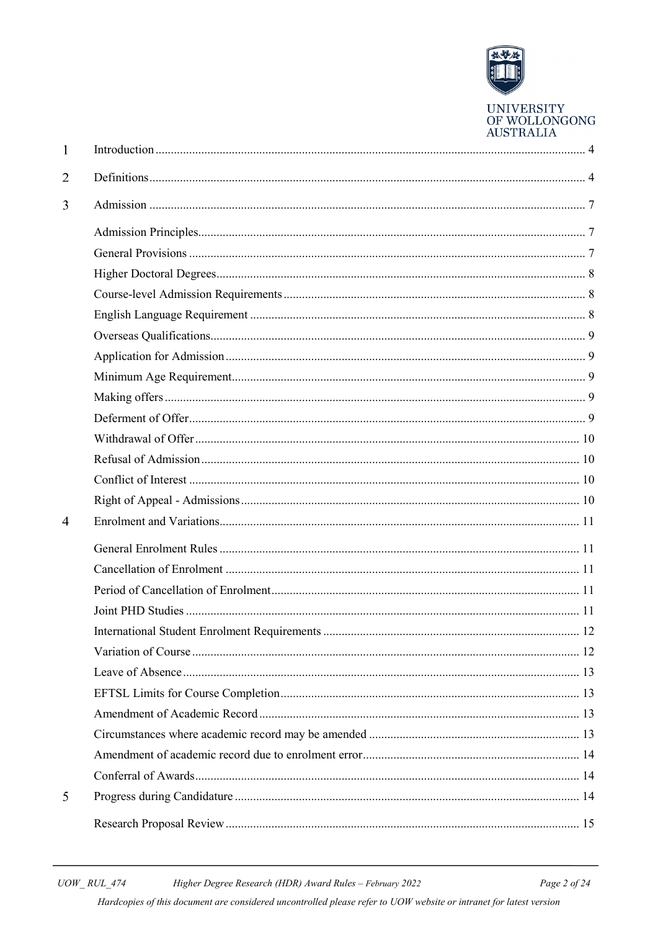

UNIVERSITY<br>OF WOLLONGONG **AUSTRALIA** 

| 1              |    |
|----------------|----|
| 2              |    |
| 3              |    |
|                |    |
|                |    |
|                |    |
|                |    |
|                |    |
|                |    |
|                |    |
|                |    |
|                |    |
|                |    |
|                |    |
|                |    |
|                |    |
|                |    |
| $\overline{4}$ |    |
|                |    |
|                |    |
|                |    |
|                |    |
|                | 12 |
|                |    |
|                |    |
|                |    |
|                |    |
|                |    |
|                |    |
|                |    |
| 5              |    |
|                |    |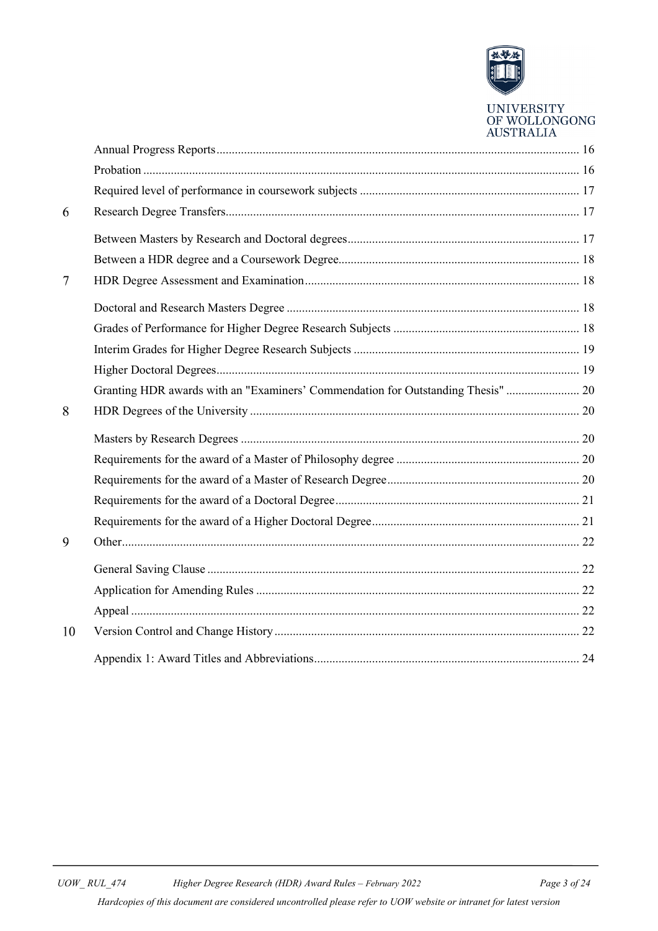

# UNIVERSITY<br>OF WOLLONGONG **AUSTRALIA**

| 6              |                                                                                  |  |
|----------------|----------------------------------------------------------------------------------|--|
|                |                                                                                  |  |
|                |                                                                                  |  |
| $\overline{7}$ |                                                                                  |  |
|                |                                                                                  |  |
|                |                                                                                  |  |
|                |                                                                                  |  |
|                |                                                                                  |  |
|                | Granting HDR awards with an "Examiners' Commendation for Outstanding Thesis"  20 |  |
| 8              |                                                                                  |  |
|                |                                                                                  |  |
|                |                                                                                  |  |
|                |                                                                                  |  |
|                |                                                                                  |  |
|                |                                                                                  |  |
| 9              |                                                                                  |  |
|                |                                                                                  |  |
|                |                                                                                  |  |
|                |                                                                                  |  |
| 10             |                                                                                  |  |
|                |                                                                                  |  |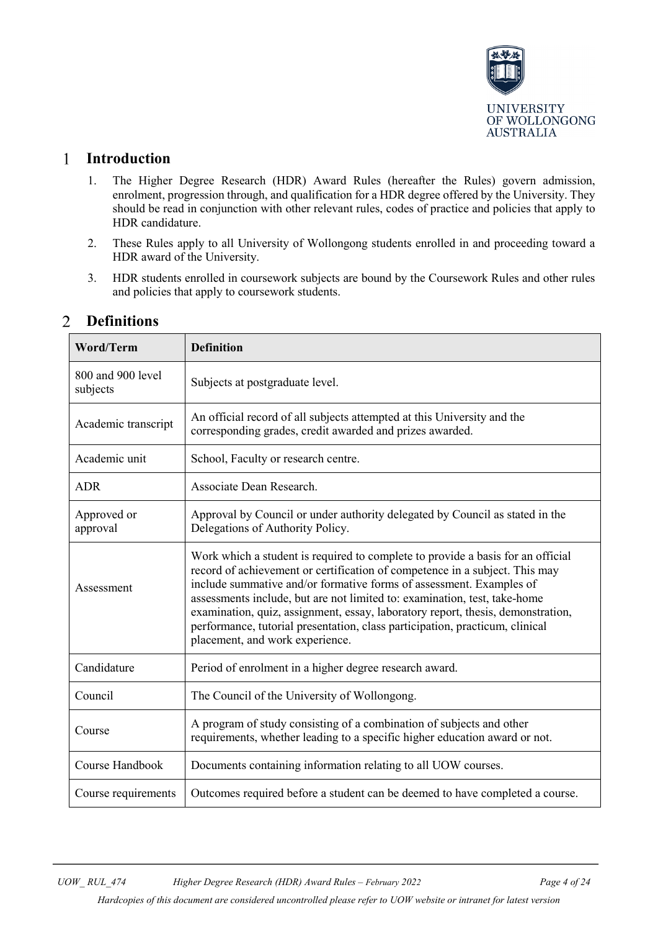

#### <span id="page-3-0"></span> $\mathbf{1}$ **Introduction**

- 1. The Higher Degree Research (HDR) Award Rules (hereafter the Rules) govern admission, enrolment, progression through, and qualification for a HDR degree offered by the University. They should be read in conjunction with other relevant rules, codes of practice and policies that apply to HDR candidature.
- 2. These Rules apply to all University of Wollongong students enrolled in and proceeding toward a HDR award of the University.
- 3. HDR students enrolled in coursework subjects are bound by the Coursework Rules and other rules and policies that apply to coursework students.

| <b>Word/Term</b>              | <b>Definition</b>                                                                                                                                                                                                                                                                                                                                                                                                                                                                                                        |
|-------------------------------|--------------------------------------------------------------------------------------------------------------------------------------------------------------------------------------------------------------------------------------------------------------------------------------------------------------------------------------------------------------------------------------------------------------------------------------------------------------------------------------------------------------------------|
| 800 and 900 level<br>subjects | Subjects at postgraduate level.                                                                                                                                                                                                                                                                                                                                                                                                                                                                                          |
| Academic transcript           | An official record of all subjects attempted at this University and the<br>corresponding grades, credit awarded and prizes awarded.                                                                                                                                                                                                                                                                                                                                                                                      |
| Academic unit                 | School, Faculty or research centre.                                                                                                                                                                                                                                                                                                                                                                                                                                                                                      |
| <b>ADR</b>                    | Associate Dean Research.                                                                                                                                                                                                                                                                                                                                                                                                                                                                                                 |
| Approved or<br>approval       | Approval by Council or under authority delegated by Council as stated in the<br>Delegations of Authority Policy.                                                                                                                                                                                                                                                                                                                                                                                                         |
| Assessment                    | Work which a student is required to complete to provide a basis for an official<br>record of achievement or certification of competence in a subject. This may<br>include summative and/or formative forms of assessment. Examples of<br>assessments include, but are not limited to: examination, test, take-home<br>examination, quiz, assignment, essay, laboratory report, thesis, demonstration,<br>performance, tutorial presentation, class participation, practicum, clinical<br>placement, and work experience. |
| Candidature                   | Period of enrolment in a higher degree research award.                                                                                                                                                                                                                                                                                                                                                                                                                                                                   |
| Council                       | The Council of the University of Wollongong.                                                                                                                                                                                                                                                                                                                                                                                                                                                                             |
| Course                        | A program of study consisting of a combination of subjects and other<br>requirements, whether leading to a specific higher education award or not.                                                                                                                                                                                                                                                                                                                                                                       |
| Course Handbook               | Documents containing information relating to all UOW courses.                                                                                                                                                                                                                                                                                                                                                                                                                                                            |
| Course requirements           | Outcomes required before a student can be deemed to have completed a course.                                                                                                                                                                                                                                                                                                                                                                                                                                             |

#### <span id="page-3-1"></span> $\overline{2}$ **Definitions**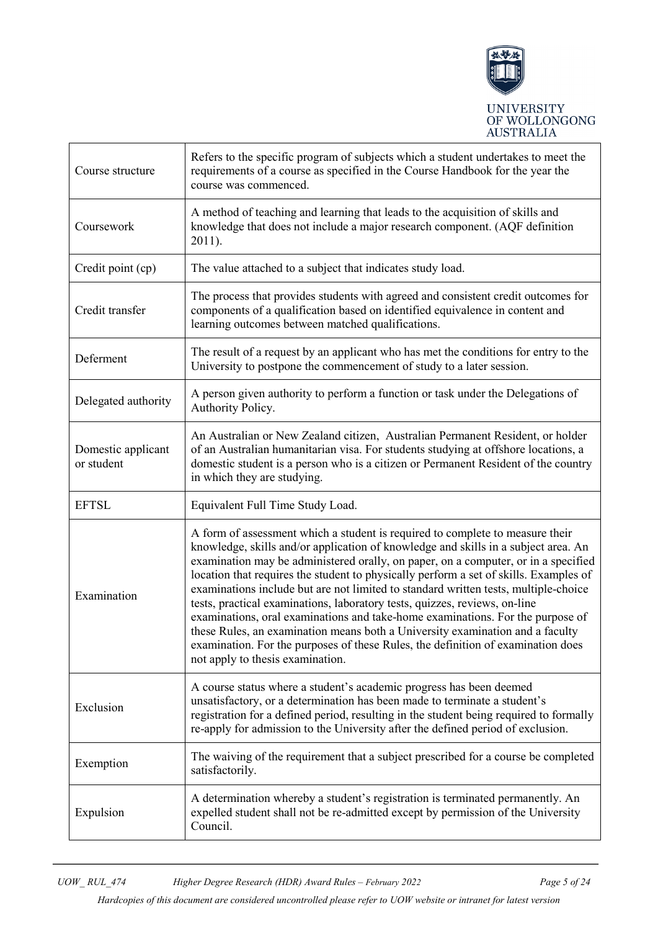

| Course structure                 | Refers to the specific program of subjects which a student undertakes to meet the<br>requirements of a course as specified in the Course Handbook for the year the<br>course was commenced.                                                                                                                                                                                                                                                                                                                                                                                                                                                 |
|----------------------------------|---------------------------------------------------------------------------------------------------------------------------------------------------------------------------------------------------------------------------------------------------------------------------------------------------------------------------------------------------------------------------------------------------------------------------------------------------------------------------------------------------------------------------------------------------------------------------------------------------------------------------------------------|
| Coursework                       | A method of teaching and learning that leads to the acquisition of skills and<br>knowledge that does not include a major research component. (AQF definition<br>2011).                                                                                                                                                                                                                                                                                                                                                                                                                                                                      |
| Credit point (cp)                | The value attached to a subject that indicates study load.                                                                                                                                                                                                                                                                                                                                                                                                                                                                                                                                                                                  |
| Credit transfer                  | The process that provides students with agreed and consistent credit outcomes for<br>components of a qualification based on identified equivalence in content and<br>learning outcomes between matched qualifications.                                                                                                                                                                                                                                                                                                                                                                                                                      |
| Deferment                        | The result of a request by an applicant who has met the conditions for entry to the<br>University to postpone the commencement of study to a later session.                                                                                                                                                                                                                                                                                                                                                                                                                                                                                 |
| Delegated authority              | A person given authority to perform a function or task under the Delegations of<br>Authority Policy.                                                                                                                                                                                                                                                                                                                                                                                                                                                                                                                                        |
| Domestic applicant<br>or student | An Australian or New Zealand citizen, Australian Permanent Resident, or holder<br>of an Australian humanitarian visa. For students studying at offshore locations, a<br>domestic student is a person who is a citizen or Permanent Resident of the country<br>in which they are studying.                                                                                                                                                                                                                                                                                                                                                   |
| <b>EFTSL</b>                     | Equivalent Full Time Study Load.                                                                                                                                                                                                                                                                                                                                                                                                                                                                                                                                                                                                            |
|                                  | A form of assessment which a student is required to complete to measure their<br>knowledge, skills and/or application of knowledge and skills in a subject area. An                                                                                                                                                                                                                                                                                                                                                                                                                                                                         |
| Examination                      | examination may be administered orally, on paper, on a computer, or in a specified<br>location that requires the student to physically perform a set of skills. Examples of<br>examinations include but are not limited to standard written tests, multiple-choice<br>tests, practical examinations, laboratory tests, quizzes, reviews, on-line<br>examinations, oral examinations and take-home examinations. For the purpose of<br>these Rules, an examination means both a University examination and a faculty<br>examination. For the purposes of these Rules, the definition of examination does<br>not apply to thesis examination. |
| Exclusion                        | A course status where a student's academic progress has been deemed<br>unsatisfactory, or a determination has been made to terminate a student's<br>registration for a defined period, resulting in the student being required to formally<br>re-apply for admission to the University after the defined period of exclusion.                                                                                                                                                                                                                                                                                                               |
| Exemption                        | The waiving of the requirement that a subject prescribed for a course be completed<br>satisfactorily.                                                                                                                                                                                                                                                                                                                                                                                                                                                                                                                                       |

*Hardcopies of this document are considered uncontrolled please refer to UOW website or intranet for latest version*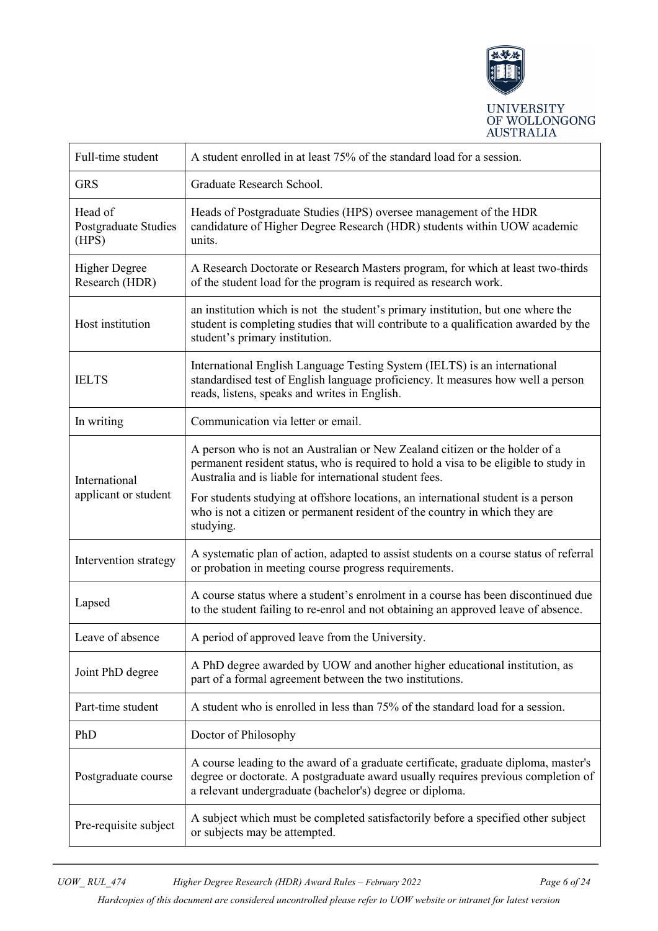

| Full-time student                        | A student enrolled in at least 75% of the standard load for a session.                                                                                                                                                               |
|------------------------------------------|--------------------------------------------------------------------------------------------------------------------------------------------------------------------------------------------------------------------------------------|
| <b>GRS</b>                               | Graduate Research School.                                                                                                                                                                                                            |
| Head of<br>Postgraduate Studies<br>(HPS) | Heads of Postgraduate Studies (HPS) oversee management of the HDR<br>candidature of Higher Degree Research (HDR) students within UOW academic<br>units.                                                                              |
| <b>Higher Degree</b><br>Research (HDR)   | A Research Doctorate or Research Masters program, for which at least two-thirds<br>of the student load for the program is required as research work.                                                                                 |
| Host institution                         | an institution which is not the student's primary institution, but one where the<br>student is completing studies that will contribute to a qualification awarded by the<br>student's primary institution.                           |
| <b>IELTS</b>                             | International English Language Testing System (IELTS) is an international<br>standardised test of English language proficiency. It measures how well a person<br>reads, listens, speaks and writes in English.                       |
| In writing                               | Communication via letter or email.                                                                                                                                                                                                   |
| International                            | A person who is not an Australian or New Zealand citizen or the holder of a<br>permanent resident status, who is required to hold a visa to be eligible to study in<br>Australia and is liable for international student fees.       |
| applicant or student                     | For students studying at offshore locations, an international student is a person<br>who is not a citizen or permanent resident of the country in which they are<br>studying.                                                        |
| Intervention strategy                    | A systematic plan of action, adapted to assist students on a course status of referral<br>or probation in meeting course progress requirements.                                                                                      |
| Lapsed                                   | A course status where a student's enrolment in a course has been discontinued due<br>to the student failing to re-enrol and not obtaining an approved leave of absence.                                                              |
| Leave of absence                         | A period of approved leave from the University.                                                                                                                                                                                      |
| Joint PhD degree                         | A PhD degree awarded by UOW and another higher educational institution, as<br>part of a formal agreement between the two institutions.                                                                                               |
| Part-time student                        | A student who is enrolled in less than 75% of the standard load for a session.                                                                                                                                                       |
| PhD                                      | Doctor of Philosophy                                                                                                                                                                                                                 |
| Postgraduate course                      | A course leading to the award of a graduate certificate, graduate diploma, master's<br>degree or doctorate. A postgraduate award usually requires previous completion of<br>a relevant undergraduate (bachelor's) degree or diploma. |
| Pre-requisite subject                    | A subject which must be completed satisfactorily before a specified other subject<br>or subjects may be attempted.                                                                                                                   |

*Hardcopies of this document are considered uncontrolled please refer to UOW website or intranet for latest version*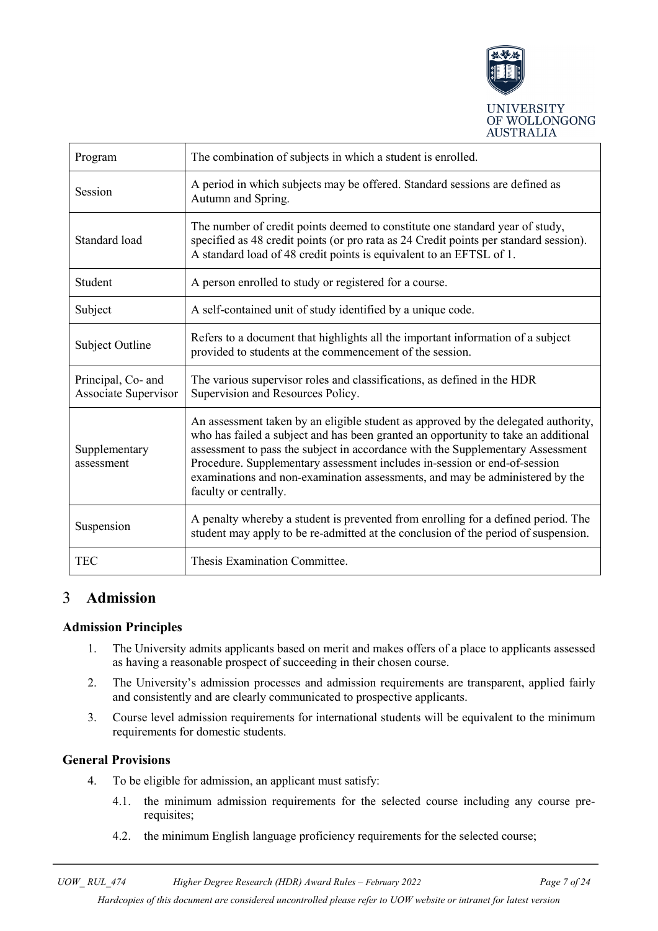

| Program                                           | The combination of subjects in which a student is enrolled.                                                                                                                                                                                                                                                                                                                                                                                      |
|---------------------------------------------------|--------------------------------------------------------------------------------------------------------------------------------------------------------------------------------------------------------------------------------------------------------------------------------------------------------------------------------------------------------------------------------------------------------------------------------------------------|
| Session                                           | A period in which subjects may be offered. Standard sessions are defined as<br>Autumn and Spring.                                                                                                                                                                                                                                                                                                                                                |
| Standard load                                     | The number of credit points deemed to constitute one standard year of study,<br>specified as 48 credit points (or pro rata as 24 Credit points per standard session).<br>A standard load of 48 credit points is equivalent to an EFTSL of 1.                                                                                                                                                                                                     |
| Student                                           | A person enrolled to study or registered for a course.                                                                                                                                                                                                                                                                                                                                                                                           |
| Subject                                           | A self-contained unit of study identified by a unique code.                                                                                                                                                                                                                                                                                                                                                                                      |
| Subject Outline                                   | Refers to a document that highlights all the important information of a subject<br>provided to students at the commencement of the session.                                                                                                                                                                                                                                                                                                      |
| Principal, Co- and<br><b>Associate Supervisor</b> | The various supervisor roles and classifications, as defined in the HDR<br>Supervision and Resources Policy.                                                                                                                                                                                                                                                                                                                                     |
| Supplementary<br>assessment                       | An assessment taken by an eligible student as approved by the delegated authority,<br>who has failed a subject and has been granted an opportunity to take an additional<br>assessment to pass the subject in accordance with the Supplementary Assessment<br>Procedure. Supplementary assessment includes in-session or end-of-session<br>examinations and non-examination assessments, and may be administered by the<br>faculty or centrally. |
| Suspension                                        | A penalty whereby a student is prevented from enrolling for a defined period. The<br>student may apply to be re-admitted at the conclusion of the period of suspension.                                                                                                                                                                                                                                                                          |
| TEC                                               | Thesis Examination Committee.                                                                                                                                                                                                                                                                                                                                                                                                                    |

#### <span id="page-6-0"></span>3 **Admission**

### <span id="page-6-1"></span>**Admission Principles**

- 1. The University admits applicants based on merit and makes offers of a place to applicants assessed as having a reasonable prospect of succeeding in their chosen course.
- 2. The University's admission processes and admission requirements are transparent, applied fairly and consistently and are clearly communicated to prospective applicants.
- 3. Course level admission requirements for international students will be equivalent to the minimum requirements for domestic students.

### <span id="page-6-2"></span>**General Provisions**

- 4. To be eligible for admission, an applicant must satisfy:
	- 4.1. the minimum admission requirements for the selected course including any course prerequisites;
	- 4.2. the minimum English language proficiency requirements for the selected course;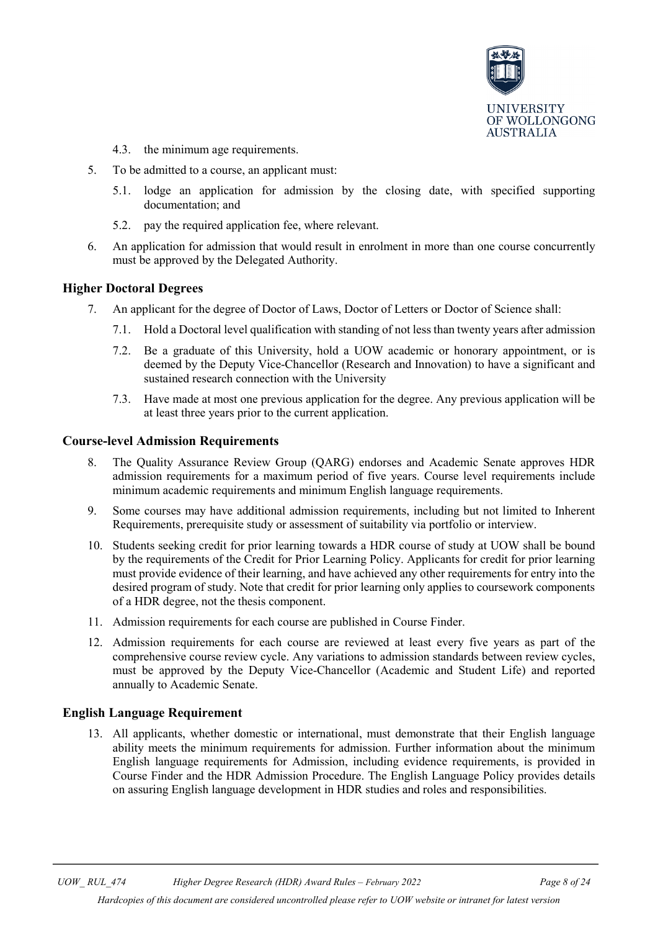

- 4.3. the minimum age requirements.
- 5. To be admitted to a course, an applicant must:
	- 5.1. lodge an application for admission by the closing date, with specified supporting documentation; and
	- 5.2. pay the required application fee, where relevant.
- 6. An application for admission that would result in enrolment in more than one course concurrently must be approved by the Delegated Authority.

#### <span id="page-7-0"></span>**Higher Doctoral Degrees**

- 7. An applicant for the degree of Doctor of Laws, Doctor of Letters or Doctor of Science shall:
	- 7.1. Hold a Doctoral level qualification with standing of not less than twenty years after admission
	- 7.2. Be a graduate of this University, hold a UOW academic or honorary appointment, or is deemed by the Deputy Vice-Chancellor (Research and Innovation) to have a significant and sustained research connection with the University
	- 7.3. Have made at most one previous application for the degree. Any previous application will be at least three years prior to the current application.

#### <span id="page-7-1"></span>**Course-level Admission Requirements**

- 8. The Quality Assurance Review Group (QARG) endorses and Academic Senate approves HDR admission requirements for a maximum period of five years. Course level requirements include minimum academic requirements and minimum English language requirements.
- 9. Some courses may have additional admission requirements, including but not limited to Inherent Requirements, prerequisite study or assessment of suitability via portfolio or interview.
- 10. Students seeking credit for prior learning towards a HDR course of study at UOW shall be bound by the requirements of the Credit for Prior Learning Policy. Applicants for credit for prior learning must provide evidence of their learning, and have achieved any other requirements for entry into the desired program of study. Note that credit for prior learning only applies to coursework components of a HDR degree, not the thesis component.
- 11. Admission requirements for each course are published in Course Finder.
- 12. Admission requirements for each course are reviewed at least every five years as part of the comprehensive course review cycle. Any variations to admission standards between review cycles, must be approved by the Deputy Vice-Chancellor (Academic and Student Life) and reported annually to Academic Senate.

#### <span id="page-7-2"></span>**English Language Requirement**

13. All applicants, whether domestic or international, must demonstrate that their English language ability meets the minimum requirements for admission. Further information about the minimum English language requirements for Admission, including evidence requirements, is provided in Course Finder and the HDR Admission Procedure. The English Language Policy provides details on assuring English language development in HDR studies and roles and responsibilities.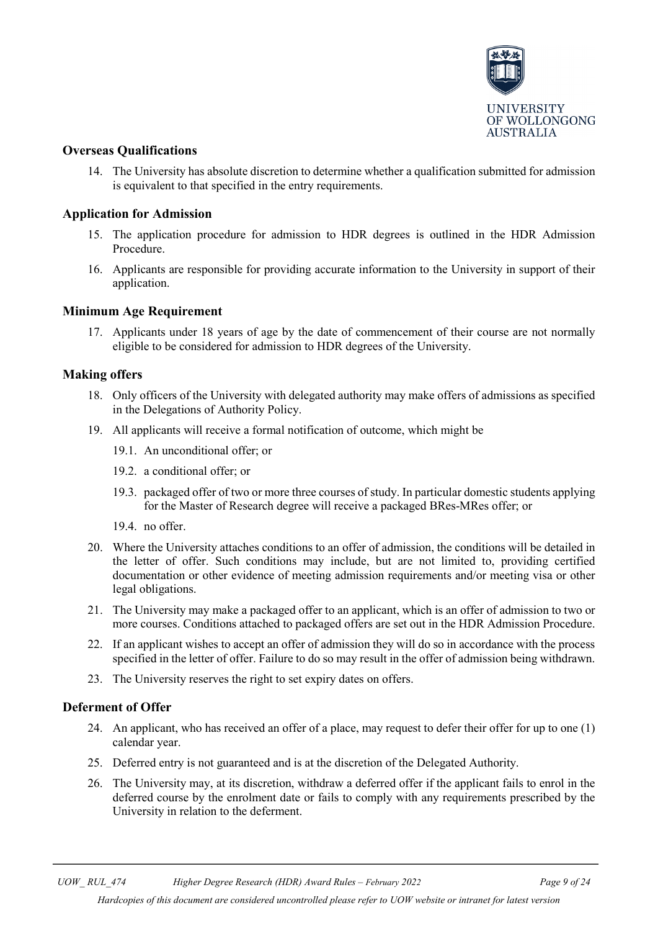

#### <span id="page-8-0"></span>**Overseas Qualifications**

14. The University has absolute discretion to determine whether a qualification submitted for admission is equivalent to that specified in the entry requirements.

#### <span id="page-8-1"></span>**Application for Admission**

- 15. The application procedure for admission to HDR degrees is outlined in the HDR [Admission](https://www.uow.edu.au/about/policy/students/UOW190887.html)  [Procedure.](https://www.uow.edu.au/about/policy/students/UOW190887.html)
- 16. Applicants are responsible for providing accurate information to the University in support of their application.

#### <span id="page-8-2"></span>**Minimum Age Requirement**

17. Applicants under 18 years of age by the date of commencement of their course are not normally eligible to be considered for admission to HDR degrees of the University.

#### <span id="page-8-3"></span>**Making offers**

- 18. Only officers of the University with delegated authority may make offers of admissions as specified in the Delegations of Authority Policy.
- 19. All applicants will receive a formal notification of outcome, which might be
	- 19.1. An unconditional offer; or
	- 19.2. a conditional offer; or
	- 19.3. packaged offer of two or more three courses of study. In particular domestic students applying for the Master of Research degree will receive a packaged BRes-MRes offer; or
	- 19.4. no offer.
- 20. Where the University attaches conditions to an offer of admission, the conditions will be detailed in the letter of offer. Such conditions may include, but are not limited to, providing certified documentation or other evidence of meeting admission requirements and/or meeting visa or other legal obligations.
- 21. The University may make a packaged offer to an applicant, which is an offer of admission to two or more courses. Conditions attached to packaged offers are set out in the HDR Admission Procedure.
- 22. If an applicant wishes to accept an offer of admission they will do so in accordance with the process specified in the letter of offer. Failure to do so may result in the offer of admission being withdrawn.
- 23. The University reserves the right to set expiry dates on offers.

#### <span id="page-8-4"></span>**Deferment of Offer**

- 24. An applicant, who has received an offer of a place, may request to defer their offer for up to one (1) calendar year.
- 25. Deferred entry is not guaranteed and is at the discretion of the Delegated Authority.
- 26. The University may, at its discretion, withdraw a deferred offer if the applicant fails to enrol in the deferred course by the enrolment date or fails to comply with any requirements prescribed by the University in relation to the deferment.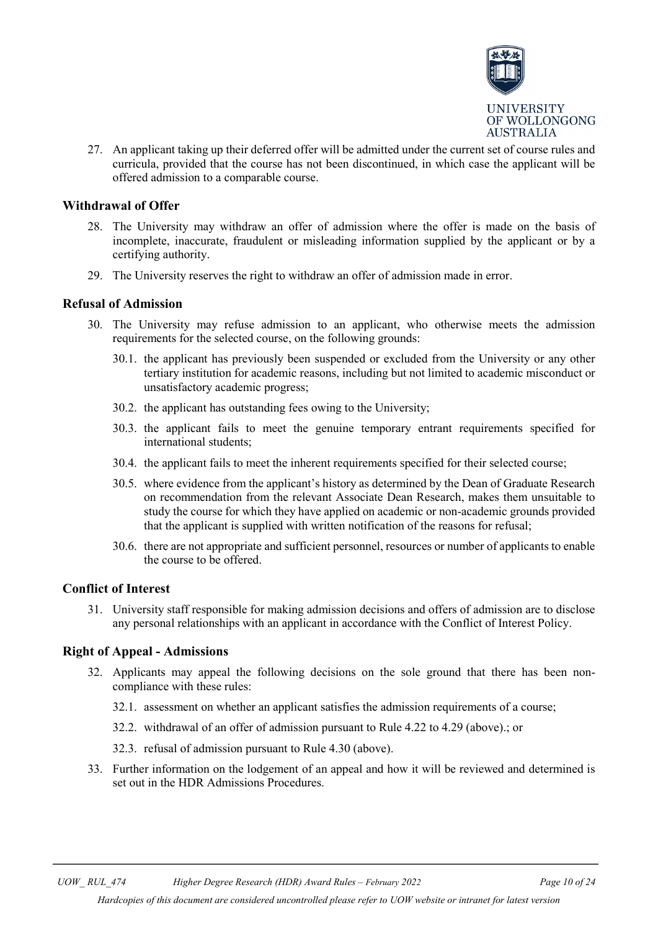

27. An applicant taking up their deferred offer will be admitted under the current set of course rules and curricula, provided that the course has not been discontinued, in which case the applicant will be offered admission to a comparable course.

### <span id="page-9-0"></span>**Withdrawal of Offer**

- 28. The University may withdraw an offer of admission where the offer is made on the basis of incomplete, inaccurate, fraudulent or misleading information supplied by the applicant or by a certifying authority.
- 29. The University reserves the right to withdraw an offer of admission made in error.

#### <span id="page-9-1"></span>**Refusal of Admission**

- 30. The University may refuse admission to an applicant, who otherwise meets the admission requirements for the selected course, on the following grounds:
	- 30.1. the applicant has previously been suspended or excluded from the University or any other tertiary institution for academic reasons, including but not limited to academic misconduct or unsatisfactory academic progress;
	- 30.2. the applicant has outstanding fees owing to the University;
	- 30.3. the applicant fails to meet the genuine temporary entrant requirements specified for international students;
	- 30.4. the applicant fails to meet the inherent requirements specified for their selected course;
	- 30.5. where evidence from the applicant's history as determined by the Dean of Graduate Research on recommendation from the relevant Associate Dean Research, makes them unsuitable to study the course for which they have applied on academic or non-academic grounds provided that the applicant is supplied with written notification of the reasons for refusal;
	- 30.6. there are not appropriate and sufficient personnel, resources or number of applicants to enable the course to be offered.

#### <span id="page-9-2"></span>**Conflict of Interest**

31. University staff responsible for making admission decisions and offers of admission are to disclose any personal relationships with an applicant in accordance with the Conflict of Interest Policy.

#### <span id="page-9-3"></span>**Right of Appeal - Admissions**

- 32. Applicants may appeal the following decisions on the sole ground that there has been noncompliance with these rules:
	- 32.1. assessment on whether an applicant satisfies the admission requirements of a course;
	- 32.2. withdrawal of an offer of admission pursuant to Rule 4.22 to 4.29 (above).; or
	- 32.3. refusal of admission pursuant to Rule 4.30 (above).
- 33. Further information on the lodgement of an appeal and how it will be reviewed and determined is set out in the HDR Admissions Procedures.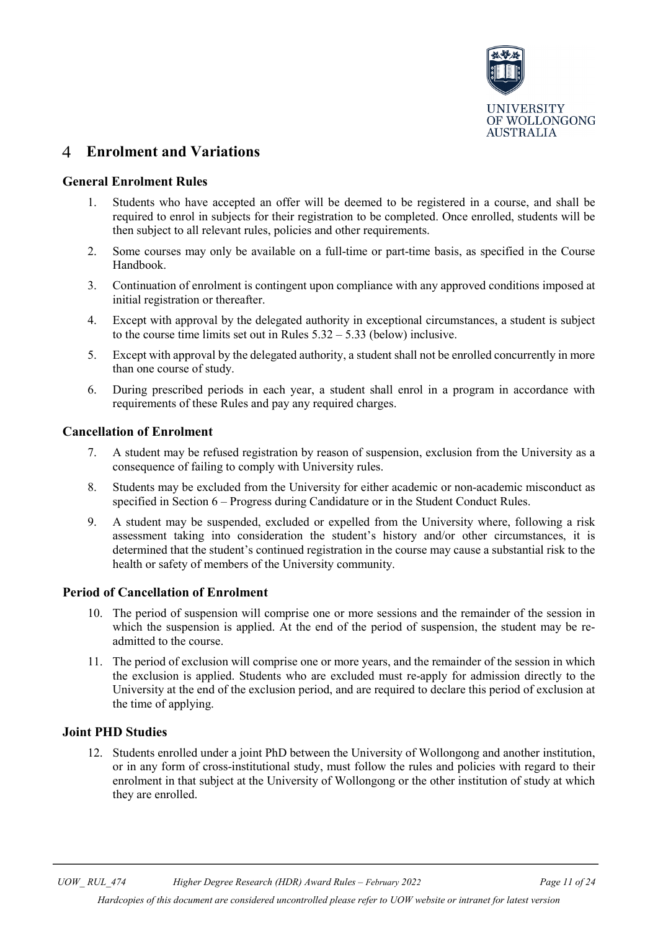

#### <span id="page-10-0"></span> $\overline{4}$ **Enrolment and Variations**

#### <span id="page-10-1"></span>**General Enrolment Rules**

- 1. Students who have accepted an offer will be deemed to be registered in a course, and shall be required to enrol in subjects for their registration to be completed. Once enrolled, students will be then subject to all relevant rules, policies and other requirements.
- 2. Some courses may only be available on a full-time or part-time basis, as specified in the Course Handbook.
- 3. Continuation of enrolment is contingent upon compliance with any approved conditions imposed at initial registration or thereafter.
- 4. Except with approval by the delegated authority in exceptional circumstances, a student is subject to the course time limits set out in Rules  $5.32 - 5.33$  (below) inclusive.
- 5. Except with approval by the delegated authority, a student shall not be enrolled concurrently in more than one course of study.
- 6. During prescribed periods in each year, a student shall enrol in a program in accordance with requirements of these Rules and pay any required charges.

#### <span id="page-10-2"></span>**Cancellation of Enrolment**

- 7. A student may be refused registration by reason of suspension, exclusion from the University as a consequence of failing to comply with University rules.
- 8. Students may be excluded from the University for either academic or non-academic misconduct as specified in Section 6 – Progress during Candidature or in the Student Conduct Rules.
- 9. A student may be suspended, excluded or expelled from the University where, following a risk assessment taking into consideration the student's history and/or other circumstances, it is determined that the student's continued registration in the course may cause a substantial risk to the health or safety of members of the University community.

#### <span id="page-10-3"></span>**Period of Cancellation of Enrolment**

- 10. The period of suspension will comprise one or more sessions and the remainder of the session in which the suspension is applied. At the end of the period of suspension, the student may be readmitted to the course.
- 11. The period of exclusion will comprise one or more years, and the remainder of the session in which the exclusion is applied. Students who are excluded must re-apply for admission directly to the University at the end of the exclusion period, and are required to declare this period of exclusion at the time of applying.

### <span id="page-10-4"></span>**Joint PHD Studies**

12. Students enrolled under a joint PhD between the University of Wollongong and another institution, or in any form of cross-institutional study, must follow the rules and policies with regard to their enrolment in that subject at the University of Wollongong or the other institution of study at which they are enrolled.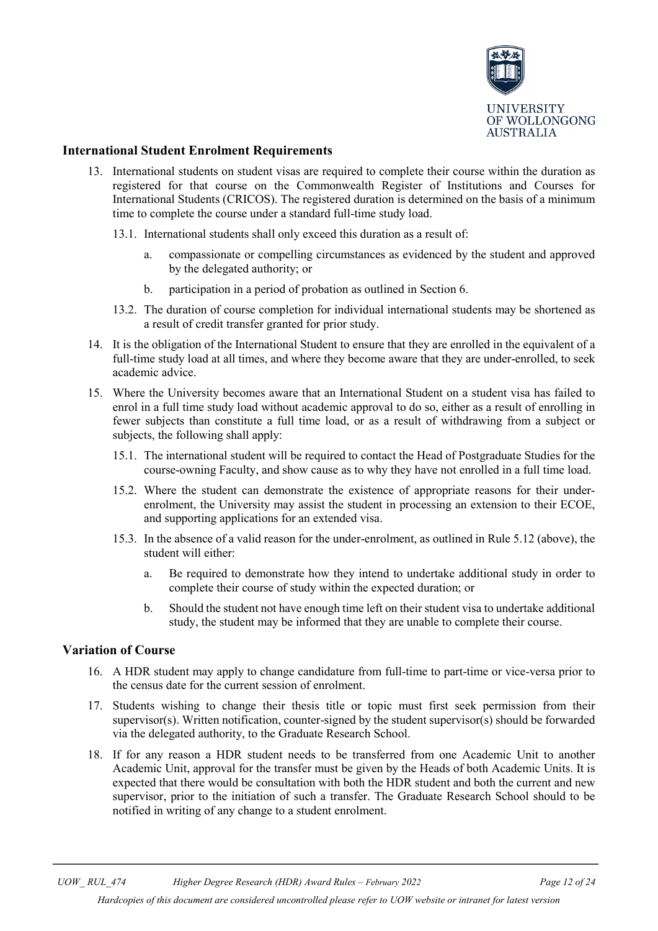

#### <span id="page-11-0"></span>**International Student Enrolment Requirements**

- 13. International students on student visas are required to complete their course within the duration as registered for that course on the Commonwealth Register of Institutions and Courses for International Students (CRICOS). The registered duration is determined on the basis of a minimum time to complete the course under a standard full-time study load.
	- 13.1. International students shall only exceed this duration as a result of:
		- a. compassionate or compelling circumstances as evidenced by the student and approved by the delegated authority; or
		- b. participation in a period of probation as outlined in Section 6.
	- 13.2. The duration of course completion for individual international students may be shortened as a result of credit transfer granted for prior study.
- 14. It is the obligation of the International Student to ensure that they are enrolled in the equivalent of a full-time study load at all times, and where they become aware that they are under-enrolled, to seek academic advice.
- 15. Where the University becomes aware that an International Student on a student visa has failed to enrol in a full time study load without academic approval to do so, either as a result of enrolling in fewer subjects than constitute a full time load, or as a result of withdrawing from a subject or subjects, the following shall apply:
	- 15.1. The international student will be required to contact the Head of Postgraduate Studies for the course-owning Faculty, and show cause as to why they have not enrolled in a full time load.
	- 15.2. Where the student can demonstrate the existence of appropriate reasons for their underenrolment, the University may assist the student in processing an extension to their ECOE, and supporting applications for an extended visa.
	- 15.3. In the absence of a valid reason for the under-enrolment, as outlined in Rule 5.12 (above), the student will either:
		- a. Be required to demonstrate how they intend to undertake additional study in order to complete their course of study within the expected duration; or
		- b. Should the student not have enough time left on their student visa to undertake additional study, the student may be informed that they are unable to complete their course.

#### <span id="page-11-1"></span>**Variation of Course**

- 16. A HDR student may apply to change candidature from full-time to part-time or vice-versa prior to the census date for the current session of enrolment.
- 17. Students wishing to change their thesis title or topic must first seek permission from their supervisor(s). Written notification, counter-signed by the student supervisor(s) should be forwarded via the delegated authority, to the Graduate Research School.
- 18. If for any reason a HDR student needs to be transferred from one Academic Unit to another Academic Unit, approval for the transfer must be given by the Heads of both Academic Units. It is expected that there would be consultation with both the HDR student and both the current and new supervisor, prior to the initiation of such a transfer. The Graduate Research School should to be notified in writing of any change to a student enrolment.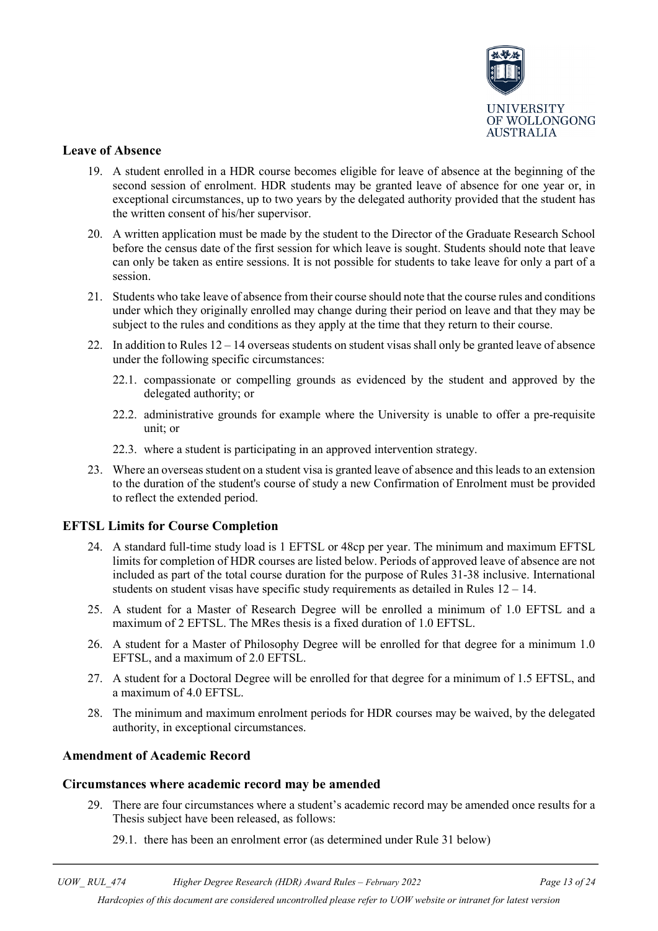

### <span id="page-12-0"></span>**Leave of Absence**

- 19. A student enrolled in a HDR course becomes eligible for leave of absence at the beginning of the second session of enrolment. HDR students may be granted leave of absence for one year or, in exceptional circumstances, up to two years by the delegated authority provided that the student has the written consent of his/her supervisor.
- 20. A written application must be made by the student to the Director of the Graduate Research School before the census date of the first session for which leave is sought. Students should note that leave can only be taken as entire sessions. It is not possible for students to take leave for only a part of a session.
- 21. Students who take leave of absence from their course should note that the course rules and conditions under which they originally enrolled may change during their period on leave and that they may be subject to the rules and conditions as they apply at the time that they return to their course.
- 22. In addition to Rules  $12 14$  overseas students on student visas shall only be granted leave of absence under the following specific circumstances:
	- 22.1. compassionate or compelling grounds as evidenced by the student and approved by the delegated authority; or
	- 22.2. administrative grounds for example where the University is unable to offer a pre-requisite unit; or
	- 22.3. where a student is participating in an approved intervention strategy.
- 23. Where an overseas student on a student visa is granted leave of absence and this leads to an extension to the duration of the student's course of study a new Confirmation of Enrolment must be provided to reflect the extended period.

#### <span id="page-12-1"></span>**EFTSL Limits for Course Completion**

- 24. A standard full-time study load is 1 EFTSL or 48cp per year. The minimum and maximum EFTSL limits for completion of HDR courses are listed below. Periods of approved leave of absence are not included as part of the total course duration for the purpose of Rules 31-38 inclusive. International students on student visas have specific study requirements as detailed in Rules 12 – 14.
- 25. A student for a Master of Research Degree will be enrolled a minimum of 1.0 EFTSL and a maximum of 2 EFTSL. The MRes thesis is a fixed duration of 1.0 EFTSL.
- 26. A student for a Master of Philosophy Degree will be enrolled for that degree for a minimum 1.0 EFTSL, and a maximum of 2.0 EFTSL.
- 27. A student for a Doctoral Degree will be enrolled for that degree for a minimum of 1.5 EFTSL, and a maximum of 4.0 EFTSL.
- 28. The minimum and maximum enrolment periods for HDR courses may be waived, by the delegated authority, in exceptional circumstances.

#### <span id="page-12-2"></span>**Amendment of Academic Record**

#### <span id="page-12-3"></span>**Circumstances where academic record may be amended**

- 29. There are four circumstances where a student's academic record may be amended once results for a Thesis subject have been released, as follows:
	- 29.1. there has been an enrolment error (as determined under Rule 31 below)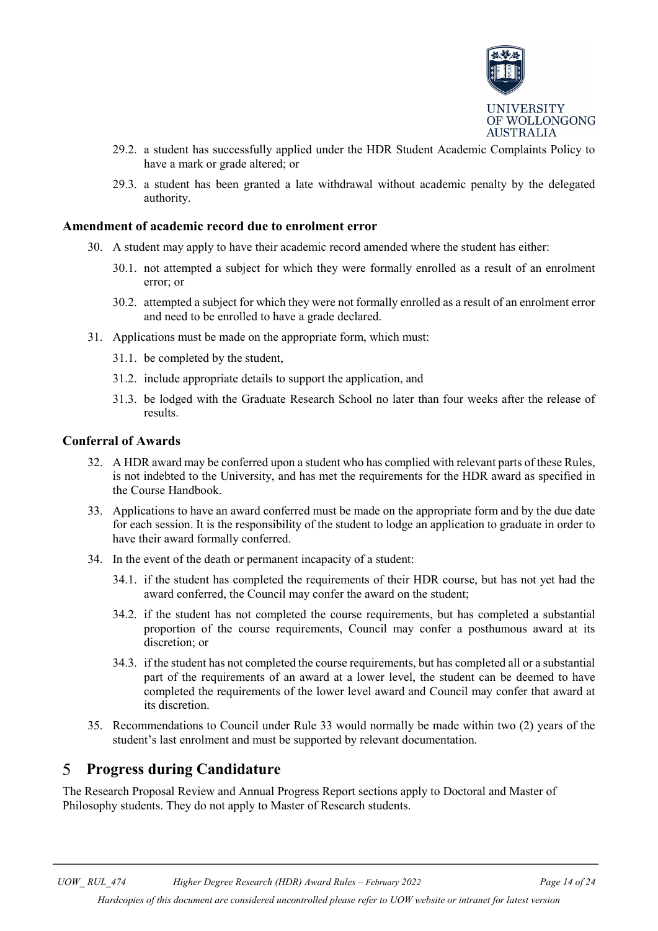

- 29.2. a student has successfully applied under the HDR Student Academic Complaints Policy to have a mark or grade altered; or
- 29.3. a student has been granted a late withdrawal without academic penalty by the delegated authority.

#### <span id="page-13-0"></span>**Amendment of academic record due to enrolment error**

- 30. A student may apply to have their academic record amended where the student has either:
	- 30.1. not attempted a subject for which they were formally enrolled as a result of an enrolment error; or
	- 30.2. attempted a subject for which they were not formally enrolled as a result of an enrolment error and need to be enrolled to have a grade declared.
- 31. Applications must be made on the appropriate form, which must:
	- 31.1. be completed by the student,
	- 31.2. include appropriate details to support the application, and
	- 31.3. be lodged with the Graduate Research School no later than four weeks after the release of results.

#### <span id="page-13-1"></span>**Conferral of Awards**

- 32. A HDR award may be conferred upon a student who has complied with relevant parts of these Rules, is not indebted to the University, and has met the requirements for the HDR award as specified in the Course Handbook.
- 33. Applications to have an award conferred must be made on the appropriate form and by the due date for each session. It is the responsibility of the student to lodge an application to graduate in order to have their award formally conferred.
- 34. In the event of the death or permanent incapacity of a student:
	- 34.1. if the student has completed the requirements of their HDR course, but has not yet had the award conferred, the Council may confer the award on the student;
	- 34.2. if the student has not completed the course requirements, but has completed a substantial proportion of the course requirements, Council may confer a posthumous award at its discretion; or
	- 34.3. if the student has not completed the course requirements, but has completed all or a substantial part of the requirements of an award at a lower level, the student can be deemed to have completed the requirements of the lower level award and Council may confer that award at its discretion.
- 35. Recommendations to Council under Rule 33 would normally be made within two (2) years of the student's last enrolment and must be supported by relevant documentation.

#### <span id="page-13-2"></span> $\overline{5}$ **Progress during Candidature**

The Research Proposal Review and Annual Progress Report sections apply to Doctoral and Master of Philosophy students. They do not apply to Master of Research students.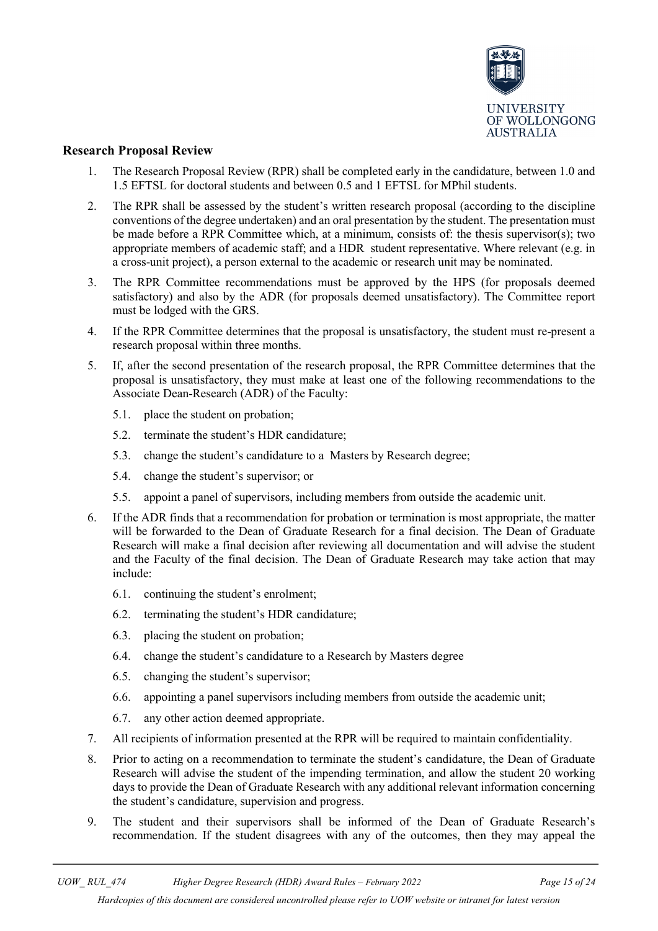

#### <span id="page-14-0"></span>**Research Proposal Review**

- 1. The Research Proposal Review (RPR) shall be completed early in the candidature, between 1.0 and 1.5 EFTSL for doctoral students and between 0.5 and 1 EFTSL for MPhil students.
- 2. The RPR shall be assessed by the student's written research proposal (according to the discipline conventions of the degree undertaken) and an oral presentation by the student. The presentation must be made before a RPR Committee which, at a minimum, consists of: the thesis supervisor(s); two appropriate members of academic staff; and a HDR student representative. Where relevant (e.g. in a cross-unit project), a person external to the academic or research unit may be nominated.
- 3. The RPR Committee recommendations must be approved by the HPS (for proposals deemed satisfactory) and also by the ADR (for proposals deemed unsatisfactory). The Committee report must be lodged with the GRS.
- 4. If the RPR Committee determines that the proposal is unsatisfactory, the student must re-present a research proposal within three months.
- 5. If, after the second presentation of the research proposal, the RPR Committee determines that the proposal is unsatisfactory, they must make at least one of the following recommendations to the Associate Dean-Research (ADR) of the Faculty:
	- 5.1. place the student on probation;
	- 5.2. terminate the student's HDR candidature;
	- 5.3. change the student's candidature to a Masters by Research degree;
	- 5.4. change the student's supervisor; or
	- 5.5. appoint a panel of supervisors, including members from outside the academic unit.
- 6. If the ADR finds that a recommendation for probation or termination is most appropriate, the matter will be forwarded to the Dean of Graduate Research for a final decision. The Dean of Graduate Research will make a final decision after reviewing all documentation and will advise the student and the Faculty of the final decision. The Dean of Graduate Research may take action that may include:
	- 6.1. continuing the student's enrolment;
	- 6.2. terminating the student's HDR candidature;
	- 6.3. placing the student on probation;
	- 6.4. change the student's candidature to a Research by Masters degree
	- 6.5. changing the student's supervisor;
	- 6.6. appointing a panel supervisors including members from outside the academic unit;
	- 6.7. any other action deemed appropriate.
- 7. All recipients of information presented at the RPR will be required to maintain confidentiality.
- 8. Prior to acting on a recommendation to terminate the student's candidature, the Dean of Graduate Research will advise the student of the impending termination, and allow the student 20 working days to provide the Dean of Graduate Research with any additional relevant information concerning the student's candidature, supervision and progress.
- 9. The student and their supervisors shall be informed of the Dean of Graduate Research's recommendation. If the student disagrees with any of the outcomes, then they may appeal the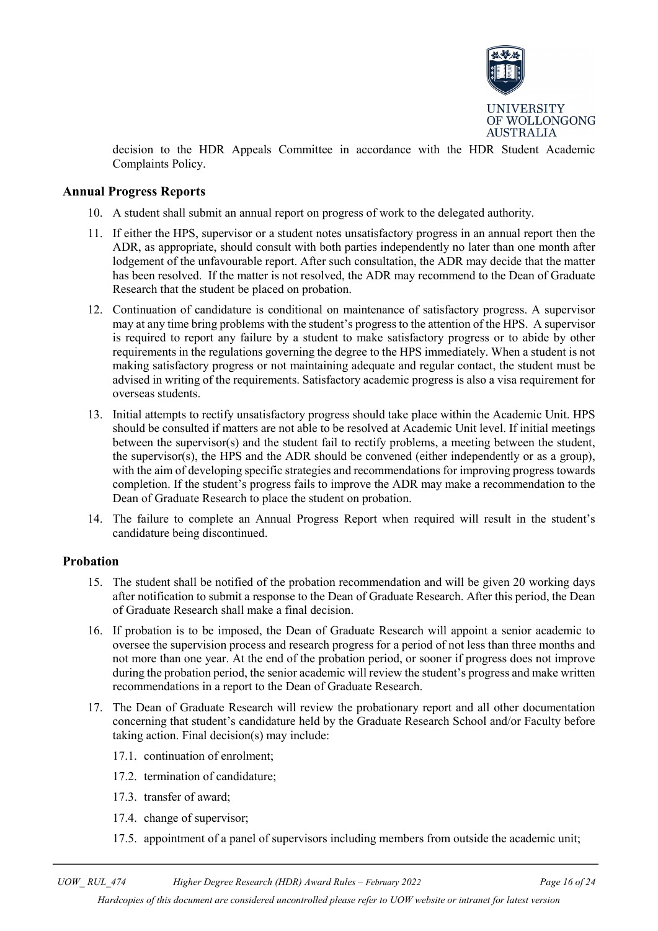

decision to the HDR Appeals Committee in accordance with the HDR Student Academic Complaints Policy.

#### <span id="page-15-0"></span>**Annual Progress Reports**

- 10. A student shall submit an annual report on progress of work to the delegated authority.
- 11. If either the HPS, supervisor or a student notes unsatisfactory progress in an annual report then the ADR, as appropriate, should consult with both parties independently no later than one month after lodgement of the unfavourable report. After such consultation, the ADR may decide that the matter has been resolved. If the matter is not resolved, the ADR may recommend to the Dean of Graduate Research that the student be placed on probation.
- 12. Continuation of candidature is conditional on maintenance of satisfactory progress. A supervisor may at any time bring problems with the student's progress to the attention of the HPS. A supervisor is required to report any failure by a student to make satisfactory progress or to abide by other requirements in the regulations governing the degree to the HPS immediately. When a student is not making satisfactory progress or not maintaining adequate and regular contact, the student must be advised in writing of the requirements. Satisfactory academic progress is also a visa requirement for overseas students.
- 13. Initial attempts to rectify unsatisfactory progress should take place within the Academic Unit. HPS should be consulted if matters are not able to be resolved at Academic Unit level. If initial meetings between the supervisor(s) and the student fail to rectify problems, a meeting between the student, the supervisor(s), the HPS and the ADR should be convened (either independently or as a group), with the aim of developing specific strategies and recommendations for improving progress towards completion. If the student's progress fails to improve the ADR may make a recommendation to the Dean of Graduate Research to place the student on probation.
- 14. The failure to complete an Annual Progress Report when required will result in the student's candidature being discontinued.

#### <span id="page-15-1"></span>**Probation**

- 15. The student shall be notified of the probation recommendation and will be given 20 working days after notification to submit a response to the Dean of Graduate Research. After this period, the Dean of Graduate Research shall make a final decision.
- 16. If probation is to be imposed, the Dean of Graduate Research will appoint a senior academic to oversee the supervision process and research progress for a period of not less than three months and not more than one year. At the end of the probation period, or sooner if progress does not improve during the probation period, the senior academic will review the student's progress and make written recommendations in a report to the Dean of Graduate Research.
- 17. The Dean of Graduate Research will review the probationary report and all other documentation concerning that student's candidature held by the Graduate Research School and/or Faculty before taking action. Final decision(s) may include:
	- 17.1. continuation of enrolment;
	- 17.2. termination of candidature;
	- 17.3. transfer of award;
	- 17.4. change of supervisor;
	- 17.5. appointment of a panel of supervisors including members from outside the academic unit;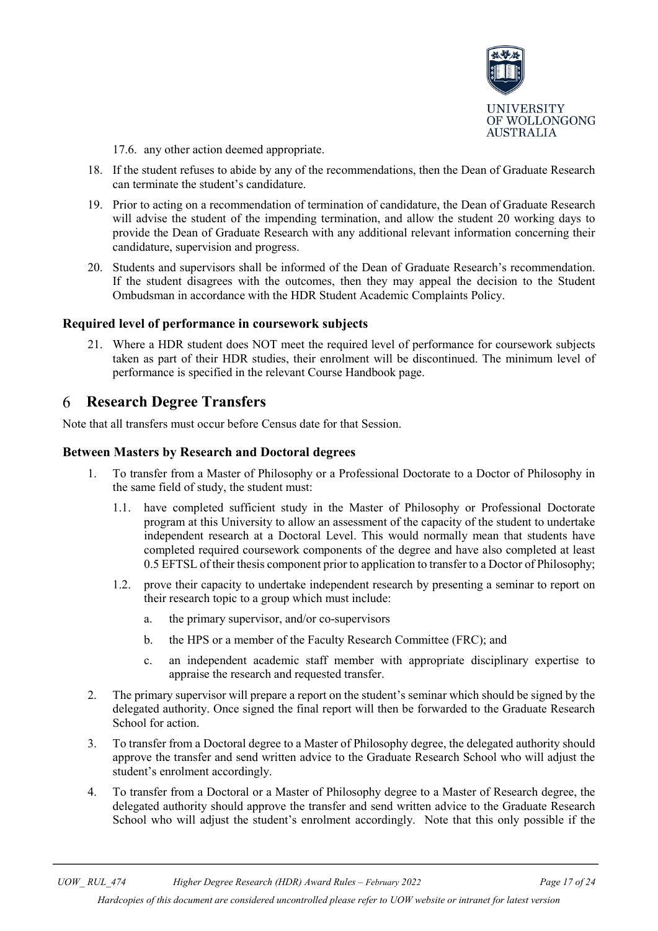

17.6. any other action deemed appropriate.

- 18. If the student refuses to abide by any of the recommendations, then the Dean of Graduate Research can terminate the student's candidature.
- 19. Prior to acting on a recommendation of termination of candidature, the Dean of Graduate Research will advise the student of the impending termination, and allow the student 20 working days to provide the Dean of Graduate Research with any additional relevant information concerning their candidature, supervision and progress.
- 20. Students and supervisors shall be informed of the Dean of Graduate Research's recommendation. If the student disagrees with the outcomes, then they may appeal the decision to the Student Ombudsman in accordance with the HDR Student Academic Complaints Policy.

#### <span id="page-16-0"></span>**Required level of performance in coursework subjects**

21. Where a HDR student does NOT meet the required level of performance for coursework subjects taken as part of their HDR studies, their enrolment will be discontinued. The minimum level of performance is specified in the relevant Course Handbook page.

#### <span id="page-16-1"></span>6 **Research Degree Transfers**

Note that all transfers must occur before Census date for that Session.

#### <span id="page-16-2"></span>**Between Masters by Research and Doctoral degrees**

- 1. To transfer from a Master of Philosophy or a Professional Doctorate to a Doctor of Philosophy in the same field of study, the student must:
	- 1.1. have completed sufficient study in the Master of Philosophy or Professional Doctorate program at this University to allow an assessment of the capacity of the student to undertake independent research at a Doctoral Level. This would normally mean that students have completed required coursework components of the degree and have also completed at least 0.5 EFTSL of their thesis component prior to application to transfer to a Doctor of Philosophy;
	- 1.2. prove their capacity to undertake independent research by presenting a seminar to report on their research topic to a group which must include:
		- a. the primary supervisor, and/or co-supervisors
		- b. the HPS or a member of the Faculty Research Committee (FRC); and
		- c. an independent academic staff member with appropriate disciplinary expertise to appraise the research and requested transfer.
- 2. The primary supervisor will prepare a report on the student's seminar which should be signed by the delegated authority. Once signed the final report will then be forwarded to the Graduate Research School for action.
- 3. To transfer from a Doctoral degree to a Master of Philosophy degree, the delegated authority should approve the transfer and send written advice to the Graduate Research School who will adjust the student's enrolment accordingly.
- 4. To transfer from a Doctoral or a Master of Philosophy degree to a Master of Research degree, the delegated authority should approve the transfer and send written advice to the Graduate Research School who will adjust the student's enrolment accordingly. Note that this only possible if the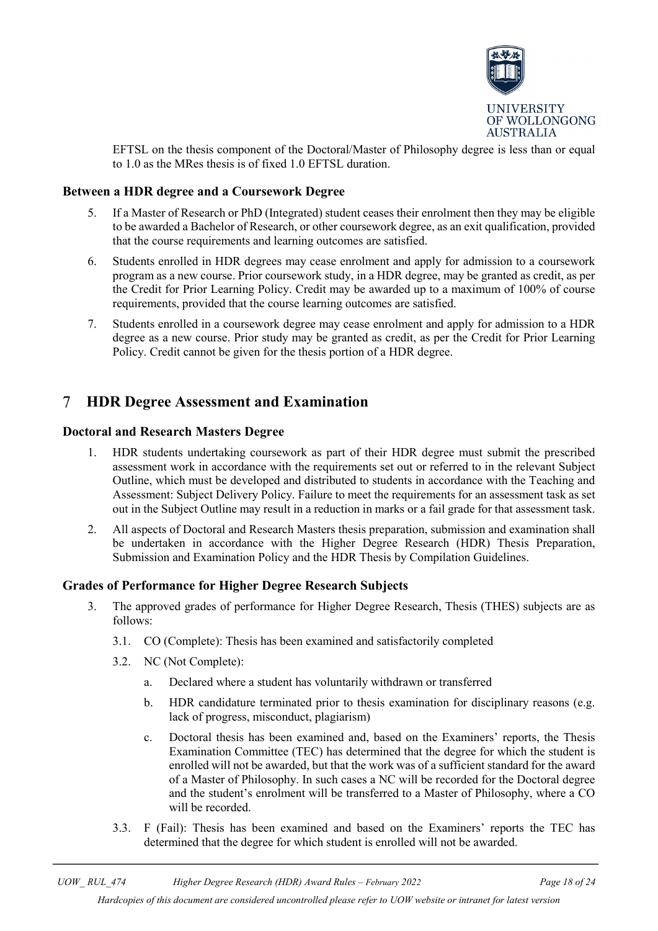

EFTSL on the thesis component of the Doctoral/Master of Philosophy degree is less than or equal to 1.0 as the MRes thesis is of fixed 1.0 EFTSL duration.

### <span id="page-17-0"></span>**Between a HDR degree and a Coursework Degree**

- 5. If a Master of Research or PhD (Integrated) student ceases their enrolment then they may be eligible to be awarded a Bachelor of Research, or other coursework degree, as an exit qualification, provided that the course requirements and learning outcomes are satisfied.
- 6. Students enrolled in HDR degrees may cease enrolment and apply for admission to a coursework program as a new course. Prior coursework study, in a HDR degree, may be granted as credit, as per the Credit for Prior Learning Policy. Credit may be awarded up to a maximum of 100% of course requirements, provided that the course learning outcomes are satisfied.
- 7. Students enrolled in a coursework degree may cease enrolment and apply for admission to a HDR degree as a new course. Prior study may be granted as credit, as per the Credit for Prior Learning Policy. Credit cannot be given for the thesis portion of a HDR degree.

#### <span id="page-17-1"></span> $\tau$ **HDR Degree Assessment and Examination**

### <span id="page-17-2"></span>**Doctoral and Research Masters Degree**

- 1. HDR students undertaking coursework as part of their HDR degree must submit the prescribed assessment work in accordance with the requirements set out or referred to in the relevant Subject Outline, which must be developed and distributed to students in accordance with the Teaching and Assessment: Subject Delivery Policy. Failure to meet the requirements for an assessment task as set out in the Subject Outline may result in a reduction in marks or a fail grade for that assessment task.
- 2. All aspects of Doctoral and Research Masters thesis preparation, submission and examination shall be undertaken in accordance with the Higher Degree Research (HDR) Thesis Preparation, Submission and Examination Policy and the HDR Thesis by Compilation Guidelines.

#### <span id="page-17-3"></span>**Grades of Performance for Higher Degree Research Subjects**

- 3. The approved grades of performance for Higher Degree Research, Thesis (THES) subjects are as follows:
	- 3.1. CO (Complete): Thesis has been examined and satisfactorily completed
	- 3.2. NC (Not Complete):
		- a. Declared where a student has voluntarily withdrawn or transferred
		- b. HDR candidature terminated prior to thesis examination for disciplinary reasons (e.g. lack of progress, misconduct, plagiarism)
		- c. Doctoral thesis has been examined and, based on the Examiners' reports, the Thesis Examination Committee (TEC) has determined that the degree for which the student is enrolled will not be awarded, but that the work was of a sufficient standard for the award of a Master of Philosophy. In such cases a NC will be recorded for the Doctoral degree and the student's enrolment will be transferred to a Master of Philosophy, where a CO will be recorded.
	- 3.3. F (Fail): Thesis has been examined and based on the Examiners' reports the TEC has determined that the degree for which student is enrolled will not be awarded.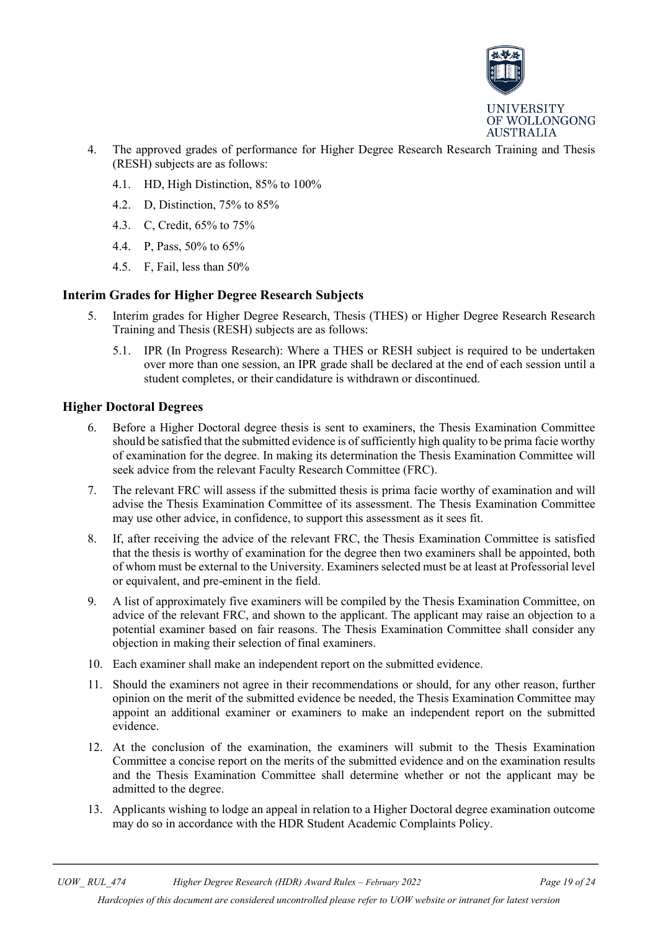

- 4. The approved grades of performance for Higher Degree Research Research Training and Thesis (RESH) subjects are as follows:
	- 4.1. HD, High Distinction, 85% to 100%
	- 4.2. D, Distinction, 75% to 85%
	- 4.3. C, Credit, 65% to 75%
	- 4.4. P, Pass, 50% to 65%
	- 4.5. F, Fail, less than 50%

### <span id="page-18-0"></span>**Interim Grades for Higher Degree Research Subjects**

- 5. Interim grades for Higher Degree Research, Thesis (THES) or Higher Degree Research Research Training and Thesis (RESH) subjects are as follows:
	- 5.1. IPR (In Progress Research): Where a THES or RESH subject is required to be undertaken over more than one session, an IPR grade shall be declared at the end of each session until a student completes, or their candidature is withdrawn or discontinued.

### <span id="page-18-1"></span>**Higher Doctoral Degrees**

- 6. Before a Higher Doctoral degree thesis is sent to examiners, the Thesis Examination Committee should be satisfied that the submitted evidence is of sufficiently high quality to be prima facie worthy of examination for the degree. In making its determination the Thesis Examination Committee will seek advice from the relevant Faculty Research Committee (FRC).
- 7. The relevant FRC will assess if the submitted thesis is prima facie worthy of examination and will advise the Thesis Examination Committee of its assessment. The Thesis Examination Committee may use other advice, in confidence, to support this assessment as it sees fit.
- 8. If, after receiving the advice of the relevant FRC, the Thesis Examination Committee is satisfied that the thesis is worthy of examination for the degree then two examiners shall be appointed, both of whom must be external to the University. Examiners selected must be at least at Professorial level or equivalent, and pre-eminent in the field.
- 9. A list of approximately five examiners will be compiled by the Thesis Examination Committee, on advice of the relevant FRC, and shown to the applicant. The applicant may raise an objection to a potential examiner based on fair reasons. The Thesis Examination Committee shall consider any objection in making their selection of final examiners.
- 10. Each examiner shall make an independent report on the submitted evidence.
- 11. Should the examiners not agree in their recommendations or should, for any other reason, further opinion on the merit of the submitted evidence be needed, the Thesis Examination Committee may appoint an additional examiner or examiners to make an independent report on the submitted evidence.
- 12. At the conclusion of the examination, the examiners will submit to the Thesis Examination Committee a concise report on the merits of the submitted evidence and on the examination results and the Thesis Examination Committee shall determine whether or not the applicant may be admitted to the degree.
- 13. Applicants wishing to lodge an appeal in relation to a Higher Doctoral degree examination outcome may do so in accordance with the HDR Student Academic Complaints Policy.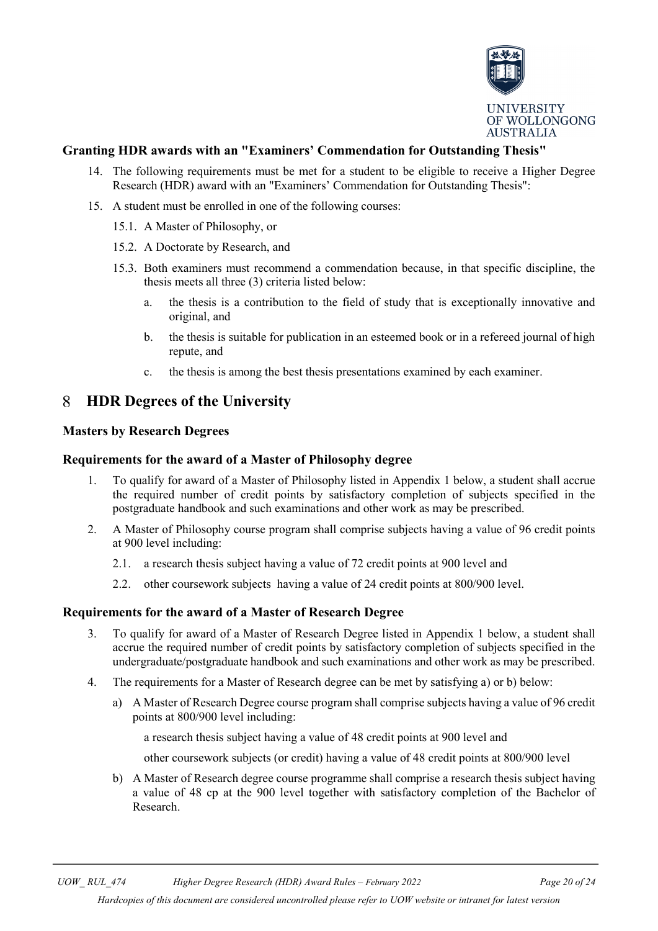

### <span id="page-19-0"></span>**Granting HDR awards with an "Examiners' Commendation for Outstanding Thesis"**

- 14. The following requirements must be met for a student to be eligible to receive a Higher Degree Research (HDR) award with an "Examiners' Commendation for Outstanding Thesis":
- 15. A student must be enrolled in one of the following courses:
	- 15.1. A Master of Philosophy, or
	- 15.2. A Doctorate by Research, and
	- 15.3. Both examiners must recommend a commendation because, in that specific discipline, the thesis meets all three (3) criteria listed below:
		- a. the thesis is a contribution to the field of study that is exceptionally innovative and original, and
		- b. the thesis is suitable for publication in an esteemed book or in a refereed journal of high repute, and
		- c. the thesis is among the best thesis presentations examined by each examiner.

#### <span id="page-19-1"></span>8 **HDR Degrees of the University**

#### <span id="page-19-2"></span>**Masters by Research Degrees**

#### <span id="page-19-3"></span>**Requirements for the award of a Master of Philosophy degree**

- 1. To qualify for award of a Master of Philosophy listed in Appendix 1 below, a student shall accrue the required number of credit points by satisfactory completion of subjects specified in the postgraduate handbook and such examinations and other work as may be prescribed.
- 2. A Master of Philosophy course program shall comprise subjects having a value of 96 credit points at 900 level including:
	- 2.1. a research thesis subject having a value of 72 credit points at 900 level and
	- 2.2. other coursework subjects having a value of 24 credit points at 800/900 level.

#### <span id="page-19-4"></span>**Requirements for the award of a Master of Research Degree**

- 3. To qualify for award of a Master of Research Degree listed in Appendix 1 below, a student shall accrue the required number of credit points by satisfactory completion of subjects specified in the undergraduate/postgraduate handbook and such examinations and other work as may be prescribed.
- 4. The requirements for a Master of Research degree can be met by satisfying a) or b) below:
	- a) A Master of Research Degree course program shall comprise subjects having a value of 96 credit points at 800/900 level including:

a research thesis subject having a value of 48 credit points at 900 level and

other coursework subjects (or credit) having a value of 48 credit points at 800/900 level

b) A Master of Research degree course programme shall comprise a research thesis subject having a value of 48 cp at the 900 level together with satisfactory completion of the Bachelor of Research.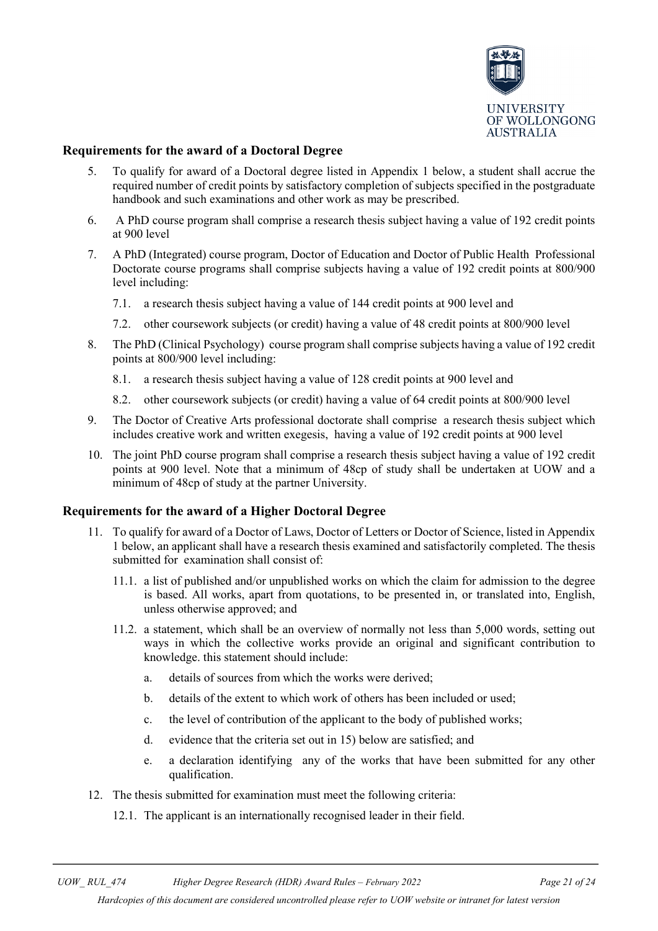

### <span id="page-20-0"></span>**Requirements for the award of a Doctoral Degree**

- 5. To qualify for award of a Doctoral degree listed in Appendix 1 below, a student shall accrue the required number of credit points by satisfactory completion of subjects specified in the postgraduate handbook and such examinations and other work as may be prescribed.
- 6. A PhD course program shall comprise a research thesis subject having a value of 192 credit points at 900 level
- 7. A PhD (Integrated) course program, Doctor of Education and Doctor of Public Health Professional Doctorate course programs shall comprise subjects having a value of 192 credit points at 800/900 level including:
	- 7.1. a research thesis subject having a value of 144 credit points at 900 level and
	- 7.2. other coursework subjects (or credit) having a value of 48 credit points at 800/900 level
- 8. The PhD (Clinical Psychology) course program shall comprise subjects having a value of 192 credit points at 800/900 level including:
	- 8.1. a research thesis subject having a value of 128 credit points at 900 level and
	- 8.2. other coursework subjects (or credit) having a value of 64 credit points at 800/900 level
- 9. The Doctor of Creative Arts professional doctorate shall comprise a research thesis subject which includes creative work and written exegesis, having a value of 192 credit points at 900 level
- 10. The joint PhD course program shall comprise a research thesis subject having a value of 192 credit points at 900 level. Note that a minimum of 48cp of study shall be undertaken at UOW and a minimum of 48cp of study at the partner University.

#### <span id="page-20-1"></span>**Requirements for the award of a Higher Doctoral Degree**

- 11. To qualify for award of a Doctor of Laws, Doctor of Letters or Doctor of Science, listed in Appendix 1 below, an applicant shall have a research thesis examined and satisfactorily completed. The thesis submitted for examination shall consist of:
	- 11.1. a list of published and/or unpublished works on which the claim for admission to the degree is based. All works, apart from quotations, to be presented in, or translated into, English, unless otherwise approved; and
	- 11.2. a statement, which shall be an overview of normally not less than 5,000 words, setting out ways in which the collective works provide an original and significant contribution to knowledge. this statement should include:
		- a. details of sources from which the works were derived;
		- b. details of the extent to which work of others has been included or used;
		- c. the level of contribution of the applicant to the body of published works;
		- d. evidence that the criteria set out in 15) below are satisfied; and
		- e. a declaration identifying any of the works that have been submitted for any other qualification.
- 12. The thesis submitted for examination must meet the following criteria:
	- 12.1. The applicant is an internationally recognised leader in their field.

*UOW\_ RUL\_474 Higher Degree Research (HDR) Award Rules – February 2022 Page 21 of 24*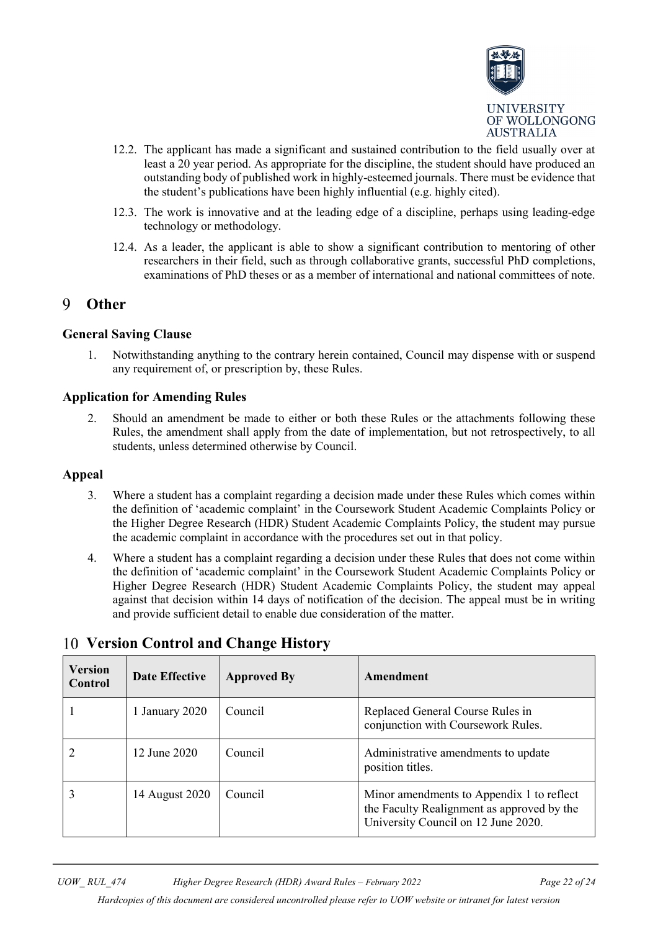

- 12.2. The applicant has made a significant and sustained contribution to the field usually over at least a 20 year period. As appropriate for the discipline, the student should have produced an outstanding body of published work in highly-esteemed journals. There must be evidence that the student's publications have been highly influential (e.g. highly cited).
- 12.3. The work is innovative and at the leading edge of a discipline, perhaps using leading-edge technology or methodology.
- 12.4. As a leader, the applicant is able to show a significant contribution to mentoring of other researchers in their field, such as through collaborative grants, successful PhD completions, examinations of PhD theses or as a member of international and national committees of note.

#### <span id="page-21-0"></span> $\mathbf Q$ **Other**

#### <span id="page-21-1"></span>**General Saving Clause**

1. Notwithstanding anything to the contrary herein contained, Council may dispense with or suspend any requirement of, or prescription by, these Rules.

### <span id="page-21-2"></span>**Application for Amending Rules**

2. Should an amendment be made to either or both these Rules or the attachments following these Rules, the amendment shall apply from the date of implementation, but not retrospectively, to all students, unless determined otherwise by Council.

#### <span id="page-21-3"></span>**Appeal**

- 3. Where a student has a complaint regarding a decision made under these Rules which comes within the definition of 'academic complaint' in the Coursework Student Academic Complaints Policy or the Higher Degree Research (HDR) Student Academic Complaints Policy, the student may pursue the academic complaint in accordance with the procedures set out in that policy.
- 4. Where a student has a complaint regarding a decision under these Rules that does not come within the definition of 'academic complaint' in the Coursework Student Academic Complaints Policy or Higher Degree Research (HDR) Student Academic Complaints Policy, the student may appeal against that decision within 14 days of notification of the decision. The appeal must be in writing and provide sufficient detail to enable due consideration of the matter.

| <b>Version</b><br>Control | <b>Date Effective</b> | <b>Approved By</b> | Amendment                                                                                                                      |
|---------------------------|-----------------------|--------------------|--------------------------------------------------------------------------------------------------------------------------------|
|                           | 1 January 2020        | Council            | Replaced General Course Rules in<br>conjunction with Coursework Rules.                                                         |
|                           | 12 June 2020          | Council            | Administrative amendments to update<br>position titles.                                                                        |
|                           | 14 August 2020        | Council            | Minor amendments to Appendix 1 to reflect<br>the Faculty Realignment as approved by the<br>University Council on 12 June 2020. |

# <span id="page-21-4"></span>**Version Control and Change History**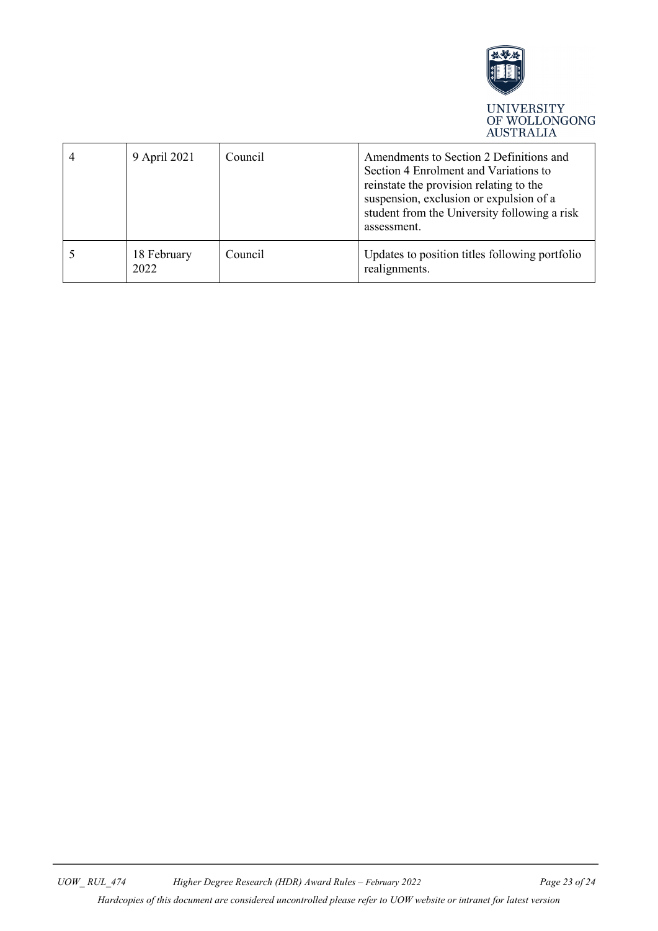

<span id="page-22-0"></span>

| 9 April 2021        | Council | Amendments to Section 2 Definitions and<br>Section 4 Enrolment and Variations to<br>reinstate the provision relating to the<br>suspension, exclusion or expulsion of a<br>student from the University following a risk<br>assessment. |
|---------------------|---------|---------------------------------------------------------------------------------------------------------------------------------------------------------------------------------------------------------------------------------------|
| 18 February<br>2022 | Council | Updates to position titles following portfolio<br>realignments.                                                                                                                                                                       |